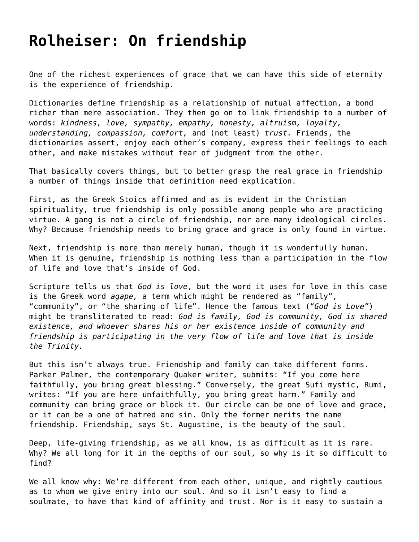## **[Rolheiser: On friendship](https://grandinmedia.ca/on-friendship/)**

One of the richest experiences of grace that we can have this side of eternity is the experience of friendship.

Dictionaries define friendship as a relationship of mutual affection, a bond richer than mere association. They then go on to link friendship to a number of words: *kindness, love, sympathy, empathy, honesty, altruism, loyalty, understanding, compassion, comfort,* and (not least) *trust.* Friends, the dictionaries assert, enjoy each other's company, express their feelings to each other, and make mistakes without fear of judgment from the other.

That basically covers things, but to better grasp the real grace in friendship a number of things inside that definition need explication.

First, as the Greek Stoics affirmed and as is evident in the Christian spirituality, true friendship is only possible among people who are practicing virtue. A gang is not a circle of friendship, nor are many ideological circles. Why? Because friendship needs to bring grace and grace is only found in virtue.

Next, friendship is more than merely human, though it is wonderfully human. When it is genuine, friendship is nothing less than a participation in the flow of life and love that's inside of God.

Scripture tells us that *God is love*, but the word it uses for love in this case is the Greek word *agape,* a term which might be rendered as "family", "community", or "the sharing of life". Hence the famous text ("*God is Love"*) might be transliterated to read: *God is family, God is community, God is shared existence, and whoever shares his or her existence inside of community and friendship is participating in the very flow of life and love that is inside the Trinity.*

But this isn't always true. Friendship and family can take different forms. Parker Palmer, the contemporary Quaker writer, submits: "If you come here faithfully, you bring great blessing." Conversely, the great Sufi mystic, Rumi, writes: "If you are here unfaithfully, you bring great harm." Family and community can bring grace or block it. Our circle can be one of love and grace, or it can be a one of hatred and sin. Only the former merits the name friendship. Friendship, says St. Augustine, is the beauty of the soul.

Deep, life-giving friendship, as we all know, is as difficult as it is rare. Why? We all long for it in the depths of our soul, so why is it so difficult to find?

We all know why: We're different from each other, unique, and rightly cautious as to whom we give entry into our soul. And so it isn't easy to find a soulmate, to have that kind of affinity and trust. Nor is it easy to sustain a